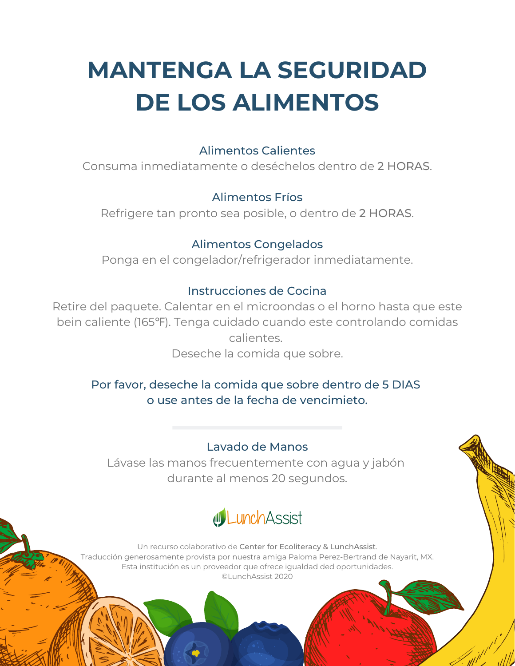# **MANTENGA LA SEGURIDAD DE LOS ALIMENTOS**

#### Alimentos Calientes

Consuma inmediatamente o deséchelos dentro de 2 HORAS.

### Alimentos Fríos

Refrigere tan pronto sea posible, o dentro de 2 HORAS.

### Alimentos Congelados

Ponga en el congelador/refrigerador inmediatamente.

### Instrucciones de Cocina

Retire del paquete. Calentar en el microondas o el horno hasta que este bein caliente (165℉). Tenga cuidado cuando este controlando comidas calientes. Deseche la comida que sobre.

### Por favor, deseche la comida que sobre dentro de 5 DIAS o use antes de la fecha de vencimieto.

### Lavado de Manos

Lávase las manos frecuentemente con agua y jabón durante al menos 20 segundos.



Un recurso colaborativo de Center for Ecoliteracy & LunchAssist. Traducción generosamente provista por nuestra amiga Paloma Perez-Bertrand de Nayarit, MX. Esta institución es un proveedor que ofrece igualdad ded oportunidades. ©LunchAssist 2020